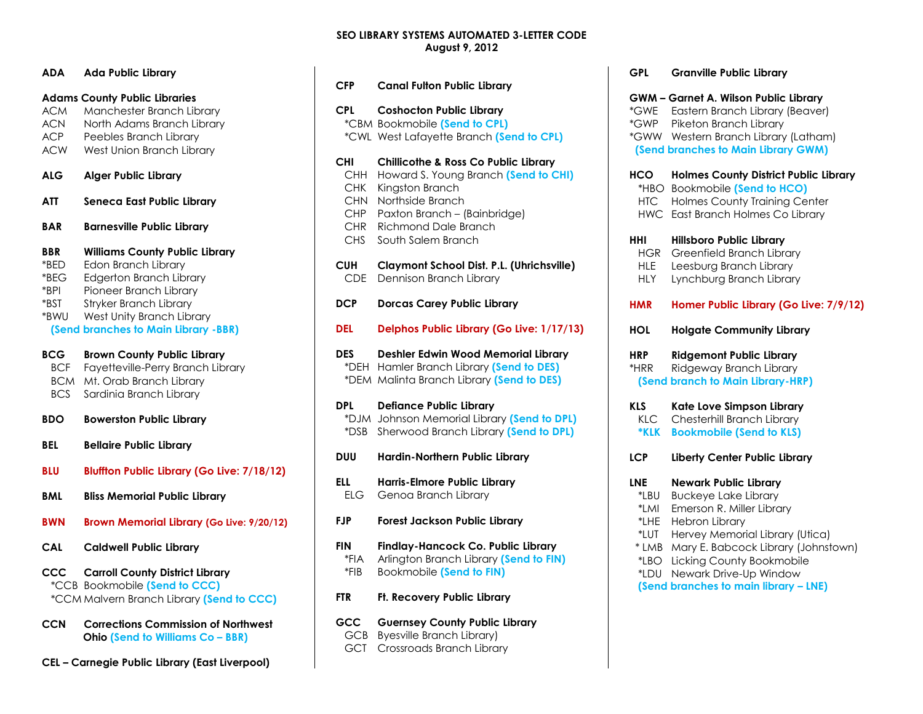# **SEO LIBRARY SYSTEMS AUTOMATED 3-LETTER CODE August 9, 2012**

| ADA                                                  | <b>Ada Public Library</b>                                                                                                                                                                                                      |
|------------------------------------------------------|--------------------------------------------------------------------------------------------------------------------------------------------------------------------------------------------------------------------------------|
| <b>ACM</b><br><b>ACN</b><br><b>ACP</b><br><b>ACW</b> | <b>Adams County Public Libraries</b><br>Manchester Branch Library<br>North Adams Branch Library<br>Peebles Branch Library<br>West Union Branch Library                                                                         |
| <b>ALG</b>                                           | <b>Alger Public Library</b>                                                                                                                                                                                                    |
| ATT                                                  | <b>Seneca East Public Library</b>                                                                                                                                                                                              |
| <b>BAR</b>                                           | <b>Barnesville Public Library</b>                                                                                                                                                                                              |
| <b>BBR</b><br>*BED<br>$*BEG$<br>*BPI<br>*BST<br>*BWU | <b>Williams County Public Library</b><br>Edon Branch Library<br><b>Edgerton Branch Library</b><br>Pioneer Branch Library<br><b>Stryker Branch Library</b><br>West Unity Branch Library<br>(Send branches to Main Library -BBR) |
| <b>BCG</b><br><b>BCF</b><br><b>BCM</b><br><b>BCS</b> | <b>Brown County Public Library</b><br>Fayetteville-Perry Branch Library<br>Mt. Orab Branch Library<br>Sardinia Branch Library                                                                                                  |
| <b>BDO</b>                                           | <b>Bowerston Public Library</b>                                                                                                                                                                                                |
| <b>BEL</b>                                           | <b>Bellaire Public Library</b>                                                                                                                                                                                                 |
| <b>BLU</b>                                           | <b>Bluffton Public Library (Go Live: 7/18/12)</b>                                                                                                                                                                              |
| <b>BML</b>                                           | <b>Bliss Memorial Public Library</b>                                                                                                                                                                                           |
| BWN                                                  | <b>Brown Memorial Library (Go Live: 9/20/12)</b>                                                                                                                                                                               |
| <b>CAL</b>                                           | <b>Caldwell Public Library</b>                                                                                                                                                                                                 |
| CCC .                                                | <b>Carroll County District Library</b><br>*CCB Bookmobile (Send to CCC)<br>*CCM Malvern Branch Library (Send to CCC)                                                                                                           |
| <b>CCN</b>                                           | <b>Corrections Commission of Northwest</b><br>Ohio (Send to Williams Co - BBR)                                                                                                                                                 |

**CEL – Carnegie Public Library (East Liverpool)**

| <b>CFP</b>                                                                 | <b>Canal Fulton Public Library</b>                                                                                                                                                                                  |
|----------------------------------------------------------------------------|---------------------------------------------------------------------------------------------------------------------------------------------------------------------------------------------------------------------|
| <b>CPL</b>                                                                 | <b>Coshocton Public Library</b><br>*CBM Bookmobile (Send to CPL)<br>*CWL West Lafayette Branch (Send to CPL)                                                                                                        |
| <b>CHI</b><br>CHH<br><b>CHK</b><br>CHN.<br><b>CHP</b><br><b>CHR</b><br>CHS | <b>Chillicothe &amp; Ross Co Public Library</b><br>Howard S. Young Branch (Send to CHI)<br>Kingston Branch<br>Northside Branch<br>Paxton Branch - (Bainbridge)<br><b>Richmond Dale Branch</b><br>South Salem Branch |
| <b>CUH</b><br><b>CDE</b>                                                   | Claymont School Dist. P.L. (Uhrichsville)<br>Dennison Branch Library                                                                                                                                                |
| <b>DCP</b>                                                                 | <b>Dorcas Carey Public Library</b>                                                                                                                                                                                  |
| <b>DEL</b>                                                                 | Delphos Public Library (Go Live: 1/17/13)                                                                                                                                                                           |
| <b>DES</b>                                                                 | Deshler Edwin Wood Memorial Library<br>*DEH Hamler Branch Library (Send to DES)<br>*DEM Malinta Branch Library (Send to DES)                                                                                        |
| <b>DPL</b><br>*DSB                                                         | <b>Defiance Public Library</b><br>*DJM Johnson Memorial Library (Send to DPL)<br>Sherwood Branch Library (Send to DPL)                                                                                              |
| <b>DUU</b>                                                                 | Hardin-Northern Public Library                                                                                                                                                                                      |
| ELL<br>ELG.                                                                | <b>Harris-Elmore Public Library</b><br>Genoa Branch Library                                                                                                                                                         |
| <b>FJP</b>                                                                 | <b>Forest Jackson Public Library</b>                                                                                                                                                                                |
| <b>FIN</b><br>*FIA<br>*FIB                                                 | Findlay-Hancock Co. Public Library<br>Arlington Branch Library (Send to FIN)<br><b>Bookmobile (Send to FIN)</b>                                                                                                     |
| <b>FTR</b>                                                                 | Ft. Recovery Public Library                                                                                                                                                                                         |
| GCC<br><b>GCB</b><br><b>GCT</b>                                            | <b>Guernsey County Public Library</b><br><b>Byesville Branch Library)</b><br>Crossroads Branch Library                                                                                                              |

| <b>GPL</b>                                    | <b>Granville Public Library</b>                                                                                                                                                          |
|-----------------------------------------------|------------------------------------------------------------------------------------------------------------------------------------------------------------------------------------------|
| *GWE<br>*GWP                                  | <b>GWM - Garnet A. Wilson Public Library</b><br>Eastern Branch Library (Beaver)<br>Piketon Branch Library<br>*GWW Western Branch Library (Latham)<br>(Send branches to Main Library GWM) |
| <b>HCO</b><br>$*$ HBO<br>HTC<br><b>HWC</b>    | <b>Holmes County District Public Library</b><br><b>Bookmobile (Send to HCO)</b><br><b>Holmes County Training Center</b><br>East Branch Holmes Co Library                                 |
| HHI<br><b>HGR</b><br><b>HLE</b><br><b>HLY</b> | <b>Hillsboro Public Library</b><br>Greenfield Branch Library<br>Leesburg Branch Library<br>Lynchburg Branch Library                                                                      |
| <b>HMR</b>                                    | Homer Public Library (Go Live: 7/9/12)                                                                                                                                                   |
| HOL                                           | <b>Holgate Community Library</b>                                                                                                                                                         |
| <b>HRP</b><br>*HRR                            | <b>Ridgemont Public Library</b><br>Ridgeway Branch Library<br>(Send branch to Main Library-HRP)                                                                                          |
| <b>KLS</b><br>KLC<br><b>*KLK</b>              | Kate Love Simpson Library<br>Chesterhill Branch Library<br><b>Bookmobile (Send to KLS)</b>                                                                                               |
| <b>LCP</b>                                    | Liberty Center Public Library                                                                                                                                                            |
| LNE                                           | <b>Newark Public Library</b>                                                                                                                                                             |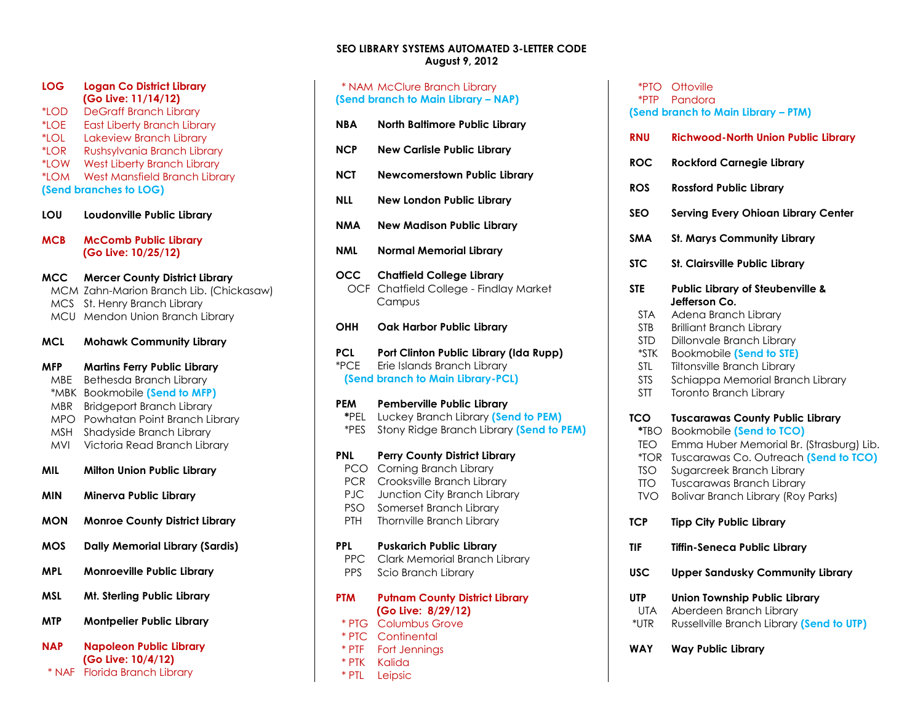### **SEO LIBRARY SYSTEMS AUTOMATED 3-LETTER CODE August 9, 2012**

| LOG      | <b>Logan Co District Library</b><br>(Go Live: 11/14/12) |
|----------|---------------------------------------------------------|
| *LOD     | <b>DeGraff Branch Library</b>                           |
| *LOE     | <b>East Liberty Branch Library</b>                      |
| *LOL     | Lakeview Branch Library                                 |
| $*$ I OR | Rushsylvania Branch Library                             |
| *LOW     | <b>West Liberty Branch Library</b>                      |
| *LOM     | <b>West Mansfield Branch Library</b>                    |
|          | (Send branches to LOG)                                  |

**LOU Loudonville Public Library**

**MCB McComb Public Library (Go Live: 10/25/12)**

- **MCC Mercer County District Library** MCM Zahn-Marion Branch Lib. (Chickasaw) MCS St. Henry Branch Library MCU Mendon Union Branch Library
- **MCL Mohawk Community Library**

**MFP Martins Ferry Public Library** MBE Bethesda Branch Library \*MBK Bookmobile **(Send to MFP)** MBR Bridgeport Branch Library MPO Powhatan Point Branch Library MSH Shadyside Branch Library MVI Victoria Read Branch Library

- **MIL Milton Union Public Library**
- **MIN Minerva Public Library**
- **MON Monroe County District Library**
- **MOS Dally Memorial Library (Sardis)**
- **MPL Monroeville Public Library**
- **MSL Mt. Sterling Public Library**
- **MTP Montpelier Public Library**

**NAP Napoleon Public Library (Go Live: 10/4/12)** \* NAF Florida Branch Library

| * NAM McClure Branch Library<br>(Send branch to Main Library – NAP) |                                                                                      |  |  |
|---------------------------------------------------------------------|--------------------------------------------------------------------------------------|--|--|
| NBA                                                                 | North Baltimore Public Library                                                       |  |  |
| NCP                                                                 | <b>New Carlisle Public Library</b>                                                   |  |  |
| NCT                                                                 | <b>Newcomerstown Public Library</b>                                                  |  |  |
| NLL.                                                                | New London Public Library                                                            |  |  |
| NMA                                                                 | <b>New Madison Public Library</b>                                                    |  |  |
| NML                                                                 | <b>Normal Memorial Library</b>                                                       |  |  |
| occ                                                                 | <b>Chaffield College Library</b><br>OCF Chatfield College - Findlay Market<br>Campus |  |  |

**OHH Oak Harbor Public Library**

**PCL Port Clinton Public Library (Ida Rupp)** \*PCE Erie Islands Branch Library  **(Send branch to Main Library-PCL)**

#### **PEM Pemberville Public Library \***PEL Luckey Branch Library **(Send to PEM)**

\*PES Stony Ridge Branch Library **(Send to PEM)**

#### **PNL Perry County District Library**  PCO Corning Branch Library

 PCR Crooksville Branch Library PJC Junction City Branch Library PSO Somerset Branch Library PTH Thornville Branch Library **PPL Puskarich Public Library** PPC Clark Memorial Branch Library PPS Scio Branch Library

# **PTM Putnam County District Library (Go Live: 8/29/12)**

- \* PTG Columbus Grove \* PTC Continental
- \* PTF Fort Jennings
- \* PTK Kalida
- \* PTL Leipsic

|                                                                                                           | *PTO Ottoville<br>*PTP Pandora<br>(Send branch to Main Library - PTM)                                                                                                                                                                                                                              |
|-----------------------------------------------------------------------------------------------------------|----------------------------------------------------------------------------------------------------------------------------------------------------------------------------------------------------------------------------------------------------------------------------------------------------|
| <b>RNU</b>                                                                                                | <b>Richwood-North Union Public Library</b>                                                                                                                                                                                                                                                         |
| <b>ROC</b>                                                                                                | <b>Rockford Carnegie Library</b>                                                                                                                                                                                                                                                                   |
| <b>ROS</b>                                                                                                | <b>Rossford Public Library</b>                                                                                                                                                                                                                                                                     |
| <b>SEO</b>                                                                                                | <b>Serving Every Ohioan Library Center</b>                                                                                                                                                                                                                                                         |
| <b>SMA</b>                                                                                                | <b>St. Marys Community Library</b>                                                                                                                                                                                                                                                                 |
| <b>STC</b>                                                                                                | St. Clairsville Public Library                                                                                                                                                                                                                                                                     |
| <b>STE</b><br><b>STA</b><br><b>STB</b><br><b>STD</b><br>$*$ STK<br><b>STL</b><br><b>STS</b><br><b>STT</b> | <b>Public Library of Steubenville &amp;</b><br>Jefferson Co.<br>Adena Branch Library<br><b>Brilliant Branch Library</b><br>Dillonvale Branch Library<br><b>Bookmobile (Send to STE)</b><br><b>Tiltonsville Branch Library</b><br>Schiappa Memorial Branch Library<br><b>Toronto Branch Library</b> |
| TCO<br>$*TBO$<br><b>TEO</b><br>$*TOR$<br><b>TSO</b><br><b>TTO</b><br><b>TVO</b>                           | <b>Tuscarawas County Public Library</b><br><b>Bookmobile (Send to TCO)</b><br>Emma Huber Memorial Br. (Strasburg) Lib.<br>Tuscarawas Co. Outreach (Send to TCO)<br>Sugarcreek Branch Library<br><b>Tuscarawas Branch Library</b><br><b>Bolivar Branch Library (Roy Parks)</b>                      |
| <b>TCP</b>                                                                                                | <b>Tipp City Public Library</b>                                                                                                                                                                                                                                                                    |
| TIF                                                                                                       | <b>Tiffin-Seneca Public Library</b>                                                                                                                                                                                                                                                                |
| USC                                                                                                       | <b>Upper Sandusky Community Library</b>                                                                                                                                                                                                                                                            |
| <b>UTP</b><br><b>UTA</b><br>*UTR                                                                          | <b>Union Township Public Library</b><br>Aberdeen Branch Library<br>Russellville Branch Library (Send to UTP)                                                                                                                                                                                       |
| WAY                                                                                                       | <b>Way Public Library</b>                                                                                                                                                                                                                                                                          |